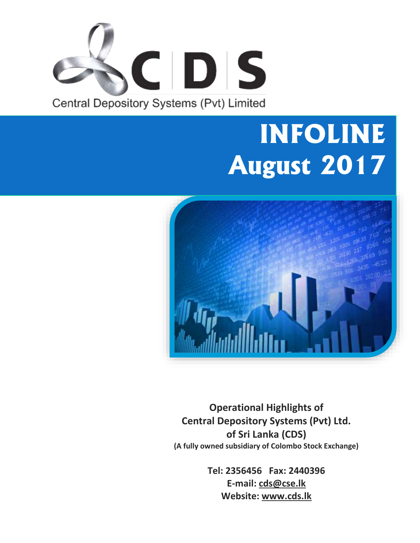

# **INFOLINE August 2017**



**Operational Highlights of Central Depository Systems (Pvt) Ltd. of Sri Lanka (CDS) (A fully owned subsidiary of Colombo Stock Exchange)**

> **Tel: 2356456 Fax: 2440396 E-mail: cds@cse.lk Website: www.cds.lk**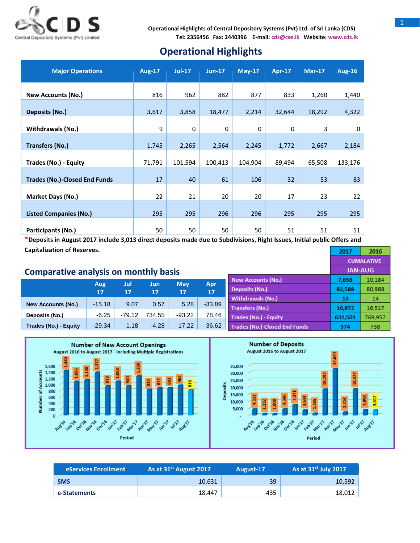

## **Operational Highlights**

| <b>Major Operations</b>              | <b>Aug-17</b> | $Jul-17$ | $Jun-17$    | $May-17$ | Apr-17      | $Mar-17$ | <b>Aug-16</b> |
|--------------------------------------|---------------|----------|-------------|----------|-------------|----------|---------------|
| <b>New Accounts (No.)</b>            | 816           | 962      | 882         | 877      | 833         | 1,260    | 1,440         |
| Deposits (No.)                       | 3,617         | 3,858    | 18,477      | 2,214    | 32,644      | 18,292   | 4,322         |
| <b>Withdrawals (No.)</b>             | 9             | $\Omega$ | $\mathbf 0$ | 0        | $\mathbf 0$ | 3        | 0             |
| <b>Transfers (No.)</b>               | 1,745         | 2,265    | 2,564       | 2,245    | 1,772       | 2,667    | 2,184         |
| Trades (No.) - Equity                | 71,791        | 101,594  | 100,413     | 104,904  | 89,494      | 65,508   | 133,176       |
| <b>Trades (No.)-Closed End Funds</b> | 17            | 40       | 61          | 106      | 32          | 53       | 83            |
| <b>Market Days (No.)</b>             | 22            | 21       | 20          | 20       | 17          | 23       | 22            |
| <b>Listed Companies (No.)</b>        | 295           | 295      | 296         | 296      | 295         | 295      | 295           |
| Participants (No.)                   | 50            | 50       | 50          | 50       | 51          | 51       | 51            |

\***Deposits in August 2017 include 3,013 direct deposits made due to Subdivisions, Right Issues, Initial public Offers and Capitalization of Reserves.** 2017

### **Comparative analysis on monthly basis**

|                           |           | Jul      | Jun     | <b>May</b> |           | <b>New Accounts (No.)</b>     | 7,658   | 10,184  |
|---------------------------|-----------|----------|---------|------------|-----------|-------------------------------|---------|---------|
|                           | Aug<br>17 | 17       | 17      | 17         | Apr<br>17 | Deposits (No.)                | 82,588  | 80,988  |
|                           |           |          |         |            |           | Withdrawals (No.)             | 13      | 14      |
| <b>New Accounts (No.)</b> | $-15.18$  | 9.07     | 0.57    | 5.28       | $-33.89$  | <b>Transfers (No.)</b>        | 16.872  | 16,517  |
| Deposits (No.)            | $-6.25$   | $-79.12$ | 734.55  | $-93.22$   | 78.46     | Trades (No.) - Equity         | 631,501 | 769.957 |
| Trades (No.) - Equity     | $-29.34$  | 1.18     | $-4.28$ | 17.22      | 36.62     | Trades (No.)-Closed End Funds | 374     | 738     |



| eServices Enrollment | As at 31 <sup>st</sup> August 2017 | August-17 | As at $31^{st}$ July 2017 |  |
|----------------------|------------------------------------|-----------|---------------------------|--|
| <b>SMS</b>           | 10.631                             | 39        | 10.592                    |  |
| e-Statements         | 18.447                             | 435       | 18.012                    |  |

2016

**CUMALATIVE JAN-AUG**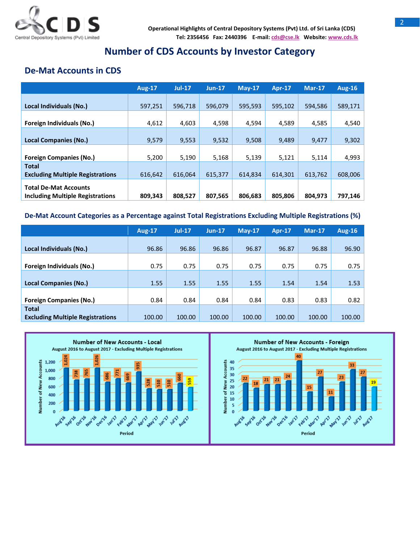

## **Number of CDS Accounts by Investor Category**

## **De-Mat Accounts in CDS**

|                                                                         | <b>Aug-17</b> | $Jul-17$ | $Jun-17$ | $Mav-17$ | <b>Apr-17</b> | $Mar-17$ | <b>Aug-16</b> |
|-------------------------------------------------------------------------|---------------|----------|----------|----------|---------------|----------|---------------|
| Local Individuals (No.)                                                 | 597,251       | 596,718  | 596,079  | 595,593  | 595,102       | 594,586  | 589,171       |
| Foreign Individuals (No.)                                               | 4,612         | 4,603    | 4,598    | 4,594    | 4,589         | 4,585    | 4,540         |
| <b>Local Companies (No.)</b>                                            | 9,579         | 9,553    | 9,532    | 9,508    | 9,489         | 9,477    | 9,302         |
| <b>Foreign Companies (No.)</b>                                          | 5,200         | 5,190    | 5,168    | 5,139    | 5,121         | 5,114    | 4,993         |
| <b>Total</b><br><b>Excluding Multiple Registrations</b>                 | 616,642       | 616.064  | 615,377  | 614,834  | 614,301       | 613,762  | 608,006       |
| <b>Total De-Mat Accounts</b><br><b>Including Multiple Registrations</b> | 809,343       | 808,527  | 807,565  | 806.683  | 805,806       | 804,973  | 797,146       |

#### **De-Mat Account Categories as a Percentage against Total Registrations Excluding Multiple Registrations (%)**

|                                                         | <b>Aug-17</b> | $Jul-17$ | $Jun-17$ | $Mav-17$ | <b>Apr-17</b> | Mar-17 | <b>Aug-16</b> |
|---------------------------------------------------------|---------------|----------|----------|----------|---------------|--------|---------------|
| Local Individuals (No.)                                 | 96.86         | 96.86    | 96.86    | 96.87    | 96.87         | 96.88  | 96.90         |
|                                                         |               |          |          |          |               |        |               |
| Foreign Individuals (No.)                               | 0.75          | 0.75     | 0.75     | 0.75     | 0.75          | 0.75   | 0.75          |
| <b>Local Companies (No.)</b>                            | 1.55          | 1.55     | 1.55     | 1.55     | 1.54          | 1.54   | 1.53          |
| <b>Foreign Companies (No.)</b>                          | 0.84          | 0.84     | 0.84     | 0.84     | 0.83          | 0.83   | 0.82          |
| <b>Total</b><br><b>Excluding Multiple Registrations</b> | 100.00        | 100.00   | 100.00   | 100.00   | 100.00        | 100.00 | 100.00        |



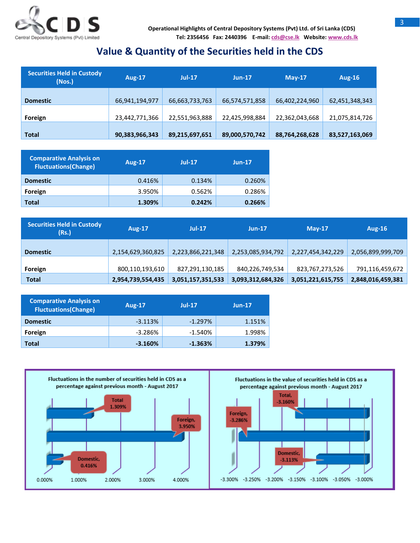

## **Value & Quantity of the Securities held in the CDS**

| <b>Securities Held in Custody</b><br>(Nos.) | <b>Aug-17</b>  | $Jul-17$       | $Jun-17$       | $Mav-17$       | Aug-16         |
|---------------------------------------------|----------------|----------------|----------------|----------------|----------------|
| <b>Domestic</b>                             | 66,941,194,977 | 66,663,733,763 | 66,574,571,858 | 66,402,224,960 | 62,451,348,343 |
| Foreign                                     | 23,442,771,366 | 22,551,963,888 | 22,425,998,884 | 22,362,043,668 | 21,075,814,726 |
| <b>Total</b>                                | 90,383,966,343 | 89,215,697,651 | 89,000,570,742 | 88,764,268,628 | 83,527,163,069 |

| <b>Comparative Analysis on</b><br><b>Fluctuations(Change)</b> | <b>Aug-17</b> | $Jul-17$ | $Jun-17$ |
|---------------------------------------------------------------|---------------|----------|----------|
| <b>Domestic</b>                                               | 0.416%        | 0.134%   | 0.260%   |
| Foreign                                                       | 3.950%        | 0.562%   | 0.286%   |
| Total                                                         | 1.309%        | 0.242%   | 0.266%   |

| <b>Securities Held in Custody</b><br>(Rs.) | <b>Aug-17</b>     | <b>Jul-17</b>     | $Jun-17$          | $May-17$          | Aug-16            |
|--------------------------------------------|-------------------|-------------------|-------------------|-------------------|-------------------|
| <b>Domestic</b>                            | 2,154,629,360,825 | 2,223,866,221,348 | 2,253,085,934,792 | 2,227,454,342,229 | 2,056,899,999,709 |
| Foreign                                    | 800,110,193,610   | 827,291,130,185   | 840,226,749,534   | 823,767,273,526   | 791,116,459,672   |
| <b>Total</b>                               | 2,954,739,554,435 | 3,051,157,351,533 | 3,093,312,684,326 | 3,051,221,615,755 | 2,848,016,459,381 |

| <b>Comparative Analysis on</b><br><b>Fluctuations(Change)</b> | <b>Aug-17</b> | $Jul-17$  | $Jun-17$ |
|---------------------------------------------------------------|---------------|-----------|----------|
| <b>Domestic</b>                                               | $-3.113%$     | $-1.297%$ | 1.151%   |
| Foreign                                                       | $-3.286%$     | $-1.540%$ | 1.998%   |
| Total                                                         | $-3.160%$     | $-1.363%$ | 1.379%   |

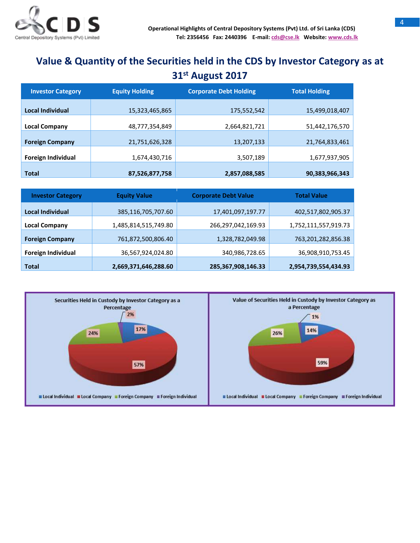

# **Value & Quantity of the Securities held in the CDS by Investor Category as at 31 st August 2017**

| <b>Investor Category</b>  | <b>Equity Holding</b> | <b>Corporate Debt Holding</b> | <b>Total Holding</b> |  |
|---------------------------|-----------------------|-------------------------------|----------------------|--|
| Local Individual          | 15,323,465,865        | 175,552,542                   | 15,499,018,407       |  |
| <b>Local Company</b>      | 48,777,354,849        | 2,664,821,721                 | 51,442,176,570       |  |
| <b>Foreign Company</b>    | 21,751,626,328        | 13,207,133                    | 21,764,833,461       |  |
| <b>Foreign Individual</b> | 1,674,430,716         | 3,507,189                     | 1,677,937,905        |  |
| <b>Total</b>              | 87,526,877,758        | 2,857,088,585                 | 90,383,966,343       |  |

| <b>Equity Value</b><br><b>Investor Category</b> |                      | <b>Corporate Debt Value</b> | <b>Total Value</b>   |  |
|-------------------------------------------------|----------------------|-----------------------------|----------------------|--|
| Local Individual                                | 385,116,705,707.60   | 17,401,097,197.77           | 402,517,802,905.37   |  |
| <b>Local Company</b>                            | 1,485,814,515,749.80 | 266,297,042,169.93          | 1,752,111,557,919.73 |  |
| <b>Foreign Company</b>                          | 761,872,500,806.40   | 1,328,782,049.98            | 763,201,282,856.38   |  |
| Foreign Individual                              | 36,567,924,024.80    | 340,986,728.65              | 36,908,910,753.45    |  |
| <b>Total</b>                                    | 2,669,371,646,288.60 | 285,367,908,146.33          | 2,954,739,554,434.93 |  |

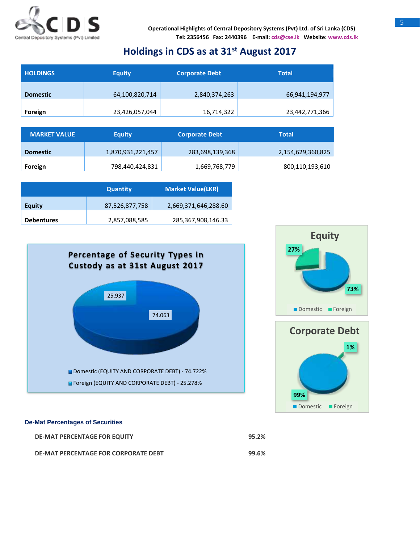

## **Holdings in CDS as at 31 st August 2017**

| <b>HOLDINGS</b> | <b>Equity</b>  |               | <b>Total</b>   |  |
|-----------------|----------------|---------------|----------------|--|
| <b>Domestic</b> | 64,100,820,714 | 2,840,374,263 | 66,941,194,977 |  |
| Foreign         | 23,426,057,044 | 16,714,322    | 23,442,771,366 |  |

| <b>MARKET VALUE</b> | Equity            | <b>Corporate Debt</b> | Total             |
|---------------------|-------------------|-----------------------|-------------------|
| <b>Domestic</b>     | 1,870,931,221,457 | 283,698,139,368       | 2,154,629,360,825 |
| Foreign             | 798,440,424,831   | 1,669,768,779         | 800,110,193,610   |

|                   | <b>Quantity</b> | <b>Market Value(LKR)</b> |  |
|-------------------|-----------------|--------------------------|--|
| <b>Equity</b>     | 87,526,877,758  | 2,669,371,646,288.60     |  |
| <b>Debentures</b> | 2,857,088,585   | 285,367,908,146.33       |  |







#### **De-Mat Percentages of Securities**

| <b>DE-MAT PERCENTAGE FOR EQUITY</b>  | 95.2% |
|--------------------------------------|-------|
| DE-MAT PERCENTAGE FOR CORPORATE DEBT | 99.6% |